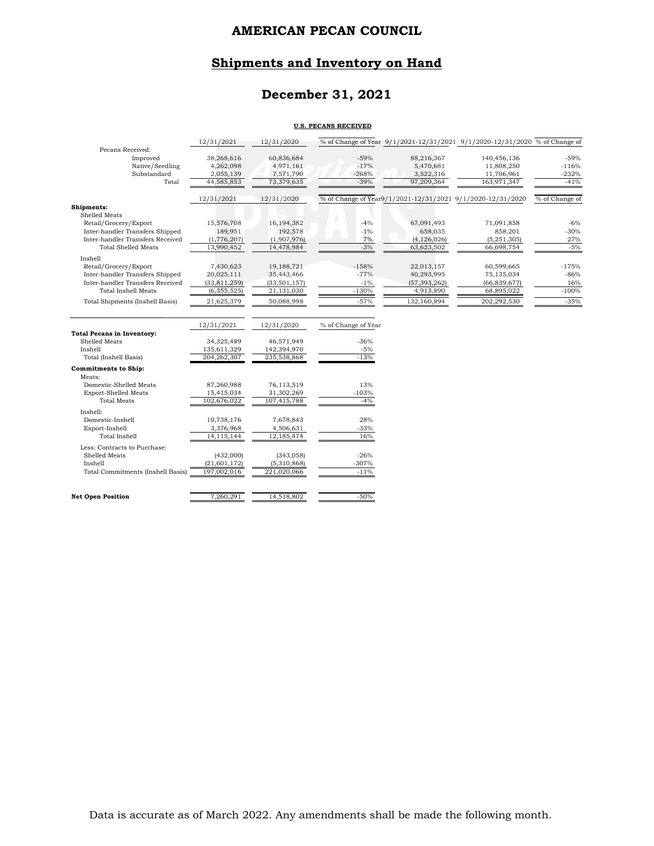# **Shipments and Inventory on Hand**

# **December 31, 2021**

#### **U.S. PECANS RECEIVED**

|                                        | 12/31/2021              | 12/31/2020              |                     |                         | % of Change of Year 9/1/2021-12/31/2021 9/1/2020-12/31/2020 % of Change of |                   |
|----------------------------------------|-------------------------|-------------------------|---------------------|-------------------------|----------------------------------------------------------------------------|-------------------|
| Pecans Received:                       |                         |                         |                     |                         |                                                                            |                   |
| Improved                               | 38,268,616              | 60,836,684              | $-59%$              | 88,216,367              | 140,456,136                                                                | $-59%$            |
| Native/Seedling                        | 4,262,098               | 4,971,161               | $-17%$              | 5,470,681               | 11,808,250                                                                 | $-116%$           |
| Substandard<br>Total                   | 2,055,139<br>44,585,853 | 7,571,790<br>73,379,635 | $-268%$<br>$-39%$   | 3,522,316<br>97,209,364 | 11,706,961<br>163,971,347                                                  | $-232%$<br>$-41%$ |
|                                        |                         |                         |                     |                         |                                                                            |                   |
|                                        | 12/31/2021              | 12/31/2020              |                     |                         | % of Change of Year9/1/2021-12/31/2021 9/1/2020-12/31/2020                 | % of Change of    |
| Shipments:                             |                         |                         |                     |                         |                                                                            |                   |
| Shelled Meats                          |                         |                         |                     |                         |                                                                            |                   |
| Retail/Grocery/Export                  | 15,576,708              | 16,194,382              | $-4%$               | 67,091,493              | 71,091,858                                                                 | $-6%$             |
| Inter-handler Transfers Shipped        | 189,951                 | 192,578                 | $-1\%$              | 658,035                 | 858,201                                                                    | $-30%$            |
| Inter-handler Transfers Received       | (1,776,207)             | (1,907,976)             | 7%                  | (4, 126, 026)           | (5, 251, 305)                                                              | 27%               |
| <b>Total Shelled Meats</b>             | 13,990,452              | 14,478,984              | $-3%$               | 63,623,502              | 66,698,754                                                                 | $-5%$             |
| Inshell                                |                         |                         |                     |                         |                                                                            |                   |
| Retail/Grocery/Export                  | 7,430,623               | 19,188,721              | $-158%$             | 22,013,157              | 60,599,665                                                                 | $-175%$           |
| Inter-handler Transfers Shipped        | 20,025,111              | 35,443,466              | $-77%$              | 40,293,995              | 75,135,034                                                                 | $-86%$            |
| Inter-handler Transfers Received       | (33, 811, 259)          | (33, 501, 157)          | $-1\%$              | (57, 393, 262)          | (66, 839, 677)                                                             | 16%               |
| <b>Total Inshell Meats</b>             | (6, 355, 525)           | 21,131,030              | $-130%$             | 4,913,890               | 68,895,022                                                                 | $-100%$           |
| <b>Total Shipments (Inshell Basis)</b> | 21,625,379              | 50,088,998              | $-57%$              | 132,160,894             | 202,292,530                                                                | $-35%$            |
|                                        |                         |                         |                     |                         |                                                                            |                   |
|                                        | 12/31/2021              | 12/31/2020              | % of Change of Year |                         |                                                                            |                   |
| <b>Total Pecans in Inventory:</b>      |                         |                         |                     |                         |                                                                            |                   |
| Shelled Meats                          | 34,325,489              | 46,571,949              | $-36%$              |                         |                                                                            |                   |
| Inshell                                | 135,611,329             | 142,394,970             | $-5%$               |                         |                                                                            |                   |
| Total (Inshell Basis)                  | 204, 262, 307           | 235,538,868             | $-13%$              |                         |                                                                            |                   |
| <b>Commitments to Ship:</b>            |                         |                         |                     |                         |                                                                            |                   |
| Meats:                                 |                         |                         |                     |                         |                                                                            |                   |
| Domestic-Shelled Meats                 | 87,260,988              | 76,113,519              | 13%                 |                         |                                                                            |                   |
| <b>Export-Shelled Meats</b>            | 15,415,034              | 31,302,269              | $-103%$             |                         |                                                                            |                   |
| <b>Total Meats</b>                     | 102,676,022             | 107,415,788             | $-4%$               |                         |                                                                            |                   |
| Inshell:                               |                         |                         |                     |                         |                                                                            |                   |
| Domestic-Inshell                       | 10,738,176              | 7,678,843               | 28%                 |                         |                                                                            |                   |
| Export-Inshell                         | 3,376,968               | 4,506,631               | $-33%$              |                         |                                                                            |                   |
| <b>Total Inshell</b>                   | 14, 115, 144            | 12,185,474              | 16%                 |                         |                                                                            |                   |
| Less: Contracts to Purchase:           |                         |                         |                     |                         |                                                                            |                   |
| Shelled Meats                          | (432,000)               | (343, 058)              | $-26%$              |                         |                                                                            |                   |
|                                        |                         |                         |                     |                         |                                                                            |                   |
| Inshell                                | (21, 601, 172)          | (5,310,868)             | $-307%$             |                         |                                                                            |                   |
| Total Commitments (Inshell Basis)      | 197,002,016             | 221,020,066             | $-11%$              |                         |                                                                            |                   |
| <b>Net Open Position</b>               | 7,260,291               | 14,518,802              | $-50%$              |                         |                                                                            |                   |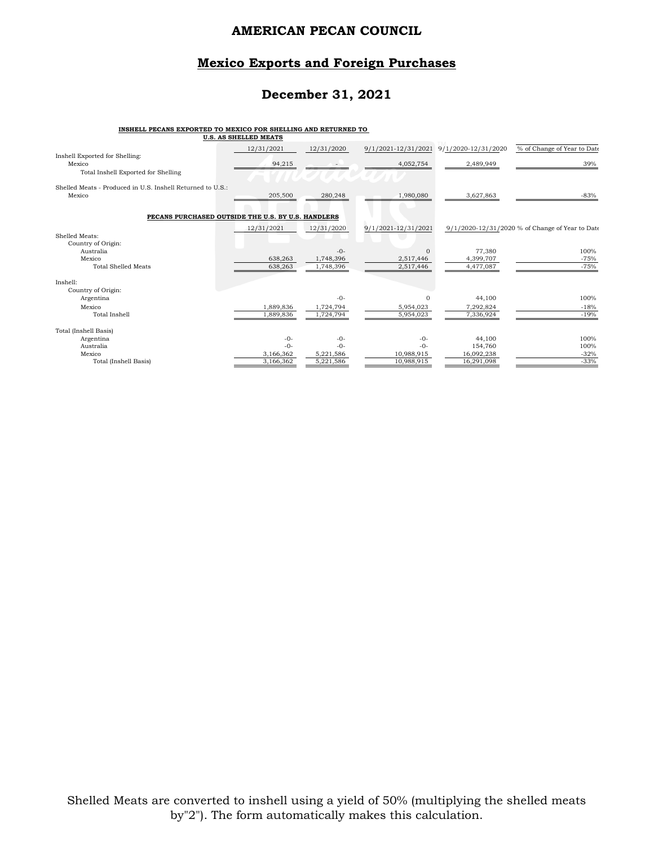#### **Mexico Exports and Foreign Purchases**

### **December 31, 2021**

#### **INSHELL PECANS EXPORTED TO MEXICO FOR SHELLING AND RETURNED TO**

|                                                                      | <b>U.S. AS SHELLED MEATS</b> |            |                     |                                                      |                                                 |
|----------------------------------------------------------------------|------------------------------|------------|---------------------|------------------------------------------------------|-------------------------------------------------|
| Inshell Exported for Shelling:<br>Mexico                             | 12/31/2021<br>94,215         | 12/31/2020 | 4,052,754           | 9/1/2021-12/31/2021 9/1/2020-12/31/2020<br>2,489,949 | % of Change of Year to Date<br>39%              |
| Total Inshell Exported for Shelling                                  |                              |            |                     |                                                      |                                                 |
| Shelled Meats - Produced in U.S. Inshell Returned to U.S.:<br>Mexico | 205,500                      | 280,248    | 1,980,080           | 3,627,863                                            | $-83%$                                          |
| PECANS PURCHASED OUTSIDE THE U.S. BY U.S. HANDLERS                   |                              |            |                     |                                                      |                                                 |
| Shelled Meats:                                                       | 12/31/2021                   | 12/31/2020 | 9/1/2021-12/31/2021 |                                                      | 9/1/2020-12/31/2020 % of Change of Year to Date |
| Country of Origin:<br>Australia                                      |                              | $-0-$      | $\Omega$            | 77,380                                               | 100%                                            |
| Mexico                                                               | 638,263                      | 1,748,396  | 2,517,446           | 4,399,707                                            | $-75%$                                          |
| <b>Total Shelled Meats</b>                                           | 638,263                      | 1,748,396  | 2,517,446           | 4,477,087                                            | $-75%$                                          |
| Inshell:                                                             |                              |            |                     |                                                      |                                                 |
| Country of Origin:                                                   |                              |            |                     |                                                      |                                                 |
| Argentina                                                            |                              | $-0-$      | $\Omega$            | 44,100                                               | 100%                                            |
| Mexico                                                               | 1,889,836                    | 1,724,794  | 5,954,023           | 7,292,824                                            | $-18%$                                          |
| <b>Total Inshell</b>                                                 | 1,889,836                    | 1,724,794  | 5,954,023           | 7,336,924                                            | $-19%$                                          |
| Total (Inshell Basis)                                                |                              |            |                     |                                                      |                                                 |
| Argentina                                                            | $-0-$                        | $-0-$      | $-0-$               | 44,100                                               | 100%                                            |
| Australia                                                            | $-0-$                        | $-0-$      | $-0-$               | 154,760                                              | 100%                                            |
| Mexico                                                               | 3,166,362                    | 5,221,586  | 10,988,915          | 16,092,238                                           | $-32%$                                          |
| Total (Inshell Basis)                                                | 3,166,362                    | 5,221,586  | 10,988,915          | 16,291,098                                           | $-33%$                                          |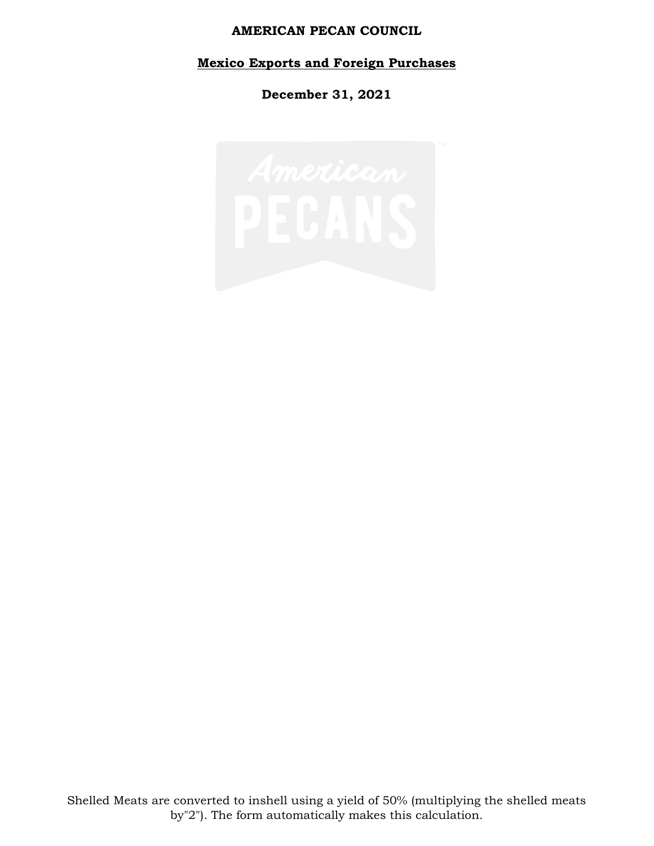# **Mexico Exports and Foreign Purchases**

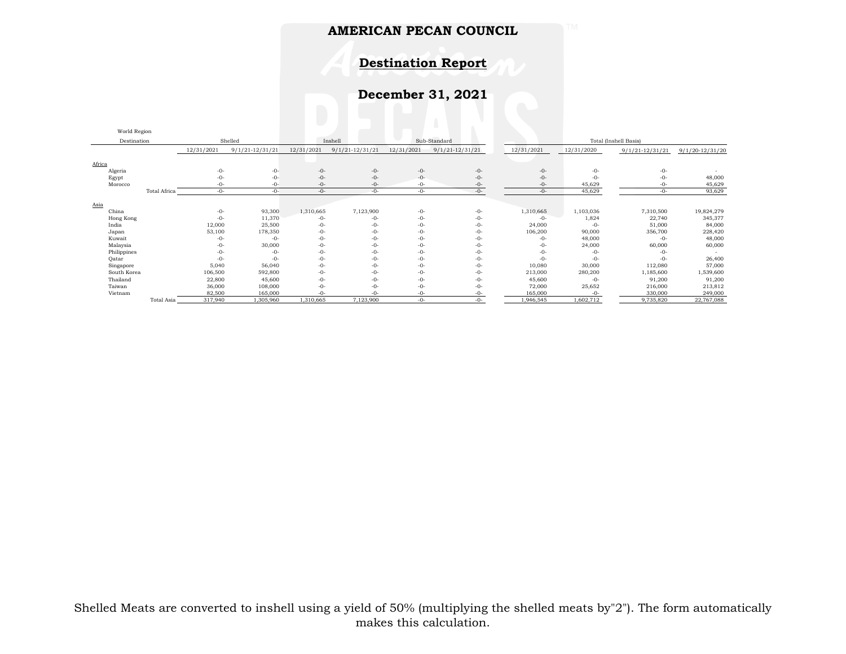# **Destination Report**

| World Region |              |            |                     |            |                     |            |                   |            |                       |                     |                     |
|--------------|--------------|------------|---------------------|------------|---------------------|------------|-------------------|------------|-----------------------|---------------------|---------------------|
| Destination  |              |            | Shelled             |            | Inshell             |            | Sub-Standard      |            | Total (Inshell Basis) |                     |                     |
|              |              | 12/31/2021 | $9/1/21 - 12/31/21$ | 12/31/2021 | $9/1/21 - 12/31/21$ | 12/31/2021 | $9/1/21-12/31/21$ | 12/31/2021 | 12/31/2020            | $9/1/21 - 12/31/21$ | $9/1/20 - 12/31/20$ |
| Africa       |              |            |                     |            |                     |            |                   |            |                       |                     |                     |
| Algeria      |              | $-0-$      | $-0-$               | $-0-$      | $-0-$               | $-0-$      | $-0-$             | $-0-$      | $-0-$                 | $-0-$               |                     |
| Egypt        |              | -0-        | $-0-$               | $-0-$      | $-0-$               | $-0-$      | $-0-$             | $-0-$      | $-0-$                 | $-0-$               | 48,000              |
| Morocco      |              | -0-        | -0-                 | -0-        | $-0-$               | -0-        | -0-               | $-0-$      | 45,629                | -0-                 | 45,629              |
|              | Total Africa | $-()$ -    | $-0-$               | $-0-$      | $-0-$               | $-0-$      | $-0-$             | $-0-$      | 45,629                | $-0-$               | 93,629              |
|              |              |            |                     |            |                     |            |                   |            |                       |                     |                     |
| Asia         |              |            |                     |            |                     |            |                   |            |                       |                     |                     |
| China        |              | $-0-$      | 93,300              | 1,310,665  | 7,123,900           | $-0-$      | $-0-$             | 1,310,665  | 1,103,036             | 7,310,500           | 19,824,279          |
| Hong Kong    |              | $-0-$      | 11,370              | -0-        | -0-                 | $-0-$      | $-0-$             | -0-        | 1,824                 | 22,740              | 345,377             |
| India        |              | 12,000     | 25,500              | $-0-$      | -0-                 | $-0-$      | -0-               | 24,000     | $-0-$                 | 51,000              | 84,000              |
| Japan        |              | 53,100     | 178,350             | $-0-$      | $-0-$               | $-0-$      | $-0-$             | 106,200    | 90,000                | 356,700             | 228,420             |
| Kuwait       |              | -0-        | $-0-$               | $-0-$      | $-0-$               | $-0-$      | $-0-$             | -0-        | 48,000                | $-0-$               | 48,000              |
| Malaysia     |              | -0-        | 30,000              | $-0-$      | $-0-$               | $-0-$      | $-0-$             | -0-        | 24,000                | 60,000              | 60,000              |
| Philippines  |              | $-()$ -    | $-0-$               | $-0-$      | $-0-$               | $-0-$      | $-0-$             | $-0-$      | $-0-$                 | $-0-$               |                     |
| Oatar        |              | $-0-$      | $-0-$               | $-0-$      | $-0-$               | $-0-$      | $-0-$             | $-0-$      | $-0-$                 | $-0-$               | 26,400              |
| Singapore    |              | 5,040      | 56,040              | $-0-$      | $-0-$               | $-0-$      | $-0-$             | 10,080     | 30,000                | 112,080             | 57,000              |
| South Korea  |              | 106,500    | 592,800             | $-0-$      | -0-                 | $-0-$      | $-0-$             | 213,000    | 280,200               | 1,185,600           | 1,539,600           |
| Thailand     |              | 22,800     | 45,600              | $-0-$      | $-0-$               | $-0-$      | $-0-$             | 45,600     | $-0-$                 | 91,200              | 91,200              |
| Taiwan       |              | 36,000     | 108,000             | $-0-$      | $-0-$               | $-0-$      | $-0-$             | 72,000     | 25,652                | 216,000             | 213,812             |
| Vietnam      |              | 82,500     | 165,000             |            |                     | -0-        | -በ-               | 165,000    | $-0-$                 | 330,000             | 249,000             |
|              | Total Asia   | 317,940    | 1,305,960           | 1,310,665  | 7,123,900           | $-0-$      | -0-               | 1,946,545  | 1,602,712             | 9,735,820           | 22,767,088          |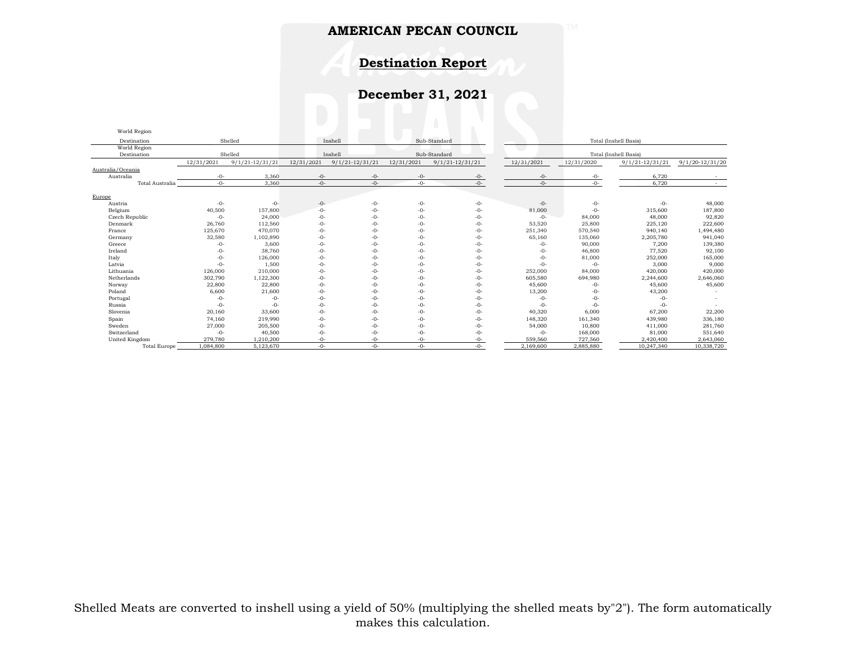### **Destination Report**

| World Region           |            |                     |            |                     |            |                     |            |            |                       |                     |
|------------------------|------------|---------------------|------------|---------------------|------------|---------------------|------------|------------|-----------------------|---------------------|
| Destination            |            | Shelled             |            | Inshell             |            | Sub-Standard        |            |            |                       |                     |
| World Region           |            |                     |            |                     |            |                     |            |            |                       |                     |
| Destination            |            | Shelled             |            | Inshell             |            | Sub-Standard        |            |            | Total (Inshell Basis) |                     |
|                        | 12/31/2021 | $9/1/21 - 12/31/21$ | 12/31/2021 | $9/1/21 - 12/31/21$ | 12/31/2021 | $9/1/21 - 12/31/21$ | 12/31/2021 | 12/31/2020 | $9/1/21 - 12/31/21$   | $9/1/20 - 12/31/20$ |
| Australia/Oceania      |            |                     |            |                     |            |                     |            |            |                       |                     |
| Australia              | $-0-$      | 3,360               | $-0-$      | $-0-$               | $-0-$      | $-0-$               | $-0-$      | -0-        | 6,720                 |                     |
| <b>Total Australia</b> | $-0-$      | 3,360               | $-0-$      | $-0-$               | $-0-$      | $-0-$               | $-0-$      | $-0-$      | 6,720                 | $\sim$              |
| Europe                 |            |                     |            |                     |            |                     |            |            |                       |                     |
| Austria                | $-0-$      | $-0-$               | $-0-$      | $-0-$               | $-0-$      | $-0-$               | $-0-$      | $-0-$      | $-0-$                 | 48,000              |
| Belgium                | 40,500     | 157,800             | $-0-$      | $-0-$               | $-0-$      | $-0-$               | 81,000     | $-0-$      | 315,600               | 187,800             |
| Czech Republic         | $-0-$      | 24,000              | $-0-$      | $-0-$               | $-0-$      | $-0-$               | $-0-$      | 84,000     | 48,000                | 92,820              |
| Denmark                | 26,760     | 112,560             | $-0-$      | $-0-$               | $-0-$      | $-0-$               | 53,520     | 25,800     | 225,120               | 222,600             |
| France                 | 125,670    | 470.070             | $-0-$      | $-0-$               | $-0-$      | $-0-$               | 251,340    | 570,540    | 940,140               | 1,494,480           |
| Germany                | 32,580     | 1,102,890           | $-0-$      | $-()$ -             | $-0-$      | $-0-$               | 65,160     | 135,060    | 2,205,780             | 941,040             |
| Greece                 | $-0-$      | 3,600               | $-0-$      | $-()$ -             | $-0-$      | $-0-$               | $-0-$      | 90,000     | 7,200                 | 139,380             |
| Ireland                | $-0-$      | 38,760              | $-0-$      | $-0-$               | $-0-$      | $-0-$               | $-0-$      | 46,800     | 77,520                | 92,100              |
| Italy                  | $-0-$      | 126,000             | $-0-$      | $-0-$               | $-0-$      | $-0-$               | $-0-$      | 81,000     | 252,000               | 165,000             |
| Latvia                 | $-0-$      | 1,500               | $-0-$      | $-0-$               | $-0-$      | $-0-$               | $-()$ -    | $-0-$      | 3,000                 | 9,000               |
| Lithuania              | 126,000    | 210,000             | $-0-$      | $-()$ -             | $-0-$      | $-0-$               | 252,000    | 84,000     | 420,000               | 420,000             |
| Netherlands            | 302,790    | 1,122,300           | $-0-$      | $-0-$               | $-0-$      | $-0-$               | 605,580    | 694,980    | 2,244,600             | 2,646,060           |
| Norway                 | 22,800     | 22,800              | $-0-$      | $-0-$               | $-0-$      | $-0-$               | 45,600     | $-0-$      | 45,600                | 45,600              |
| Poland                 | 6,600      | 21,600              | $-0-$      | $-0-$               | $-0-$      | $-0-$               | 13,200     | $-0-$      | 43,200                |                     |
| Portugal               | $-0-$      | $-0-$               | -0-        | $-0-$               | $-0-$      | $-0-$               | $-0-$      | $-0-$      | $-0-$                 |                     |
| Russia                 | $-0-$      | $-0-$               | $-0-$      | $-0-$               | $-0-$      | $-0-$               | $-0-$      | $-0-$      | $-0-$                 |                     |
| Slovenia               | 20,160     | 33,600              | $-0-$      | $-0-$               | $-0-$      | $-0-$               | 40,320     | 6,000      | 67,200                | 22,200              |
| Spain                  | 74,160     | 219,990             | $-0-$      | $-()$ -             | $-0-$      | -0-                 | 148,320    | 161,340    | 439,980               | 336,180             |
| Sweden                 | 27,000     | 205,500             | $-0-$      | $-0-$               | $-0-$      | $-0-$               | 54,000     | 10,800     | 411,000               | 281,760             |
| Switzerland            | $-0-$      | 40,500              | $-0-$      | $-0-$               | $-0-$      | -0-                 | $-0-$      | 168,000    | 81,000                | 551,640             |
| United Kingdom         | 279,780    | 1,210,200           | -0-        | $-0-$               | $-0-$      | -0-                 | 559,560    | 727,560    | 2,420,400             | 2,643,060           |
| <b>Total Europe</b>    | 1,084,800  | 5,123,670           | $-0-$      | $-()$ -             | $-0-$      | $-()$ -             | 2,169,600  | 2,885,880  | 10,247,340            | 10,338,720          |